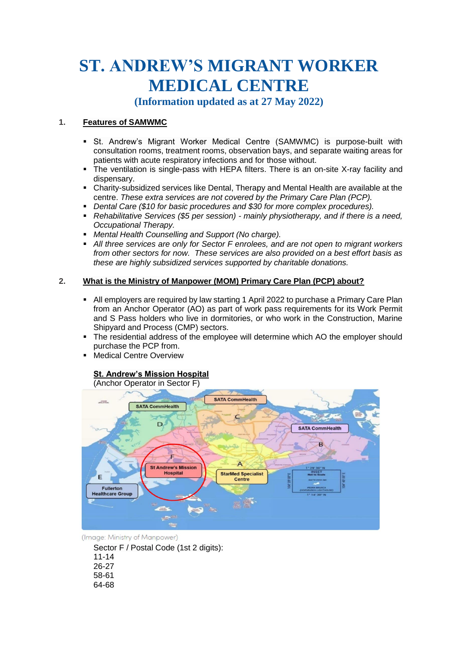# **ST. ANDREW'S MIGRANT WORKER MEDICAL CENTRE**

**(Information updated as at 27 May 2022)**

# **1. Features of SAMWMC**

- **St. Andrew's Migrant Worker Medical Centre (SAMWMC) is purpose-built with** consultation rooms, treatment rooms, observation bays, and separate waiting areas for patients with acute respiratory infections and for those without.
- The ventilation is single-pass with HEPA filters. There is an on-site X-ray facility and dispensary.
- Charity-subsidized services like Dental, Therapy and Mental Health are available at the centre. *These extra services are not covered by the Primary Care Plan (PCP).*
- *Dental Care (\$10 for basic procedures and \$30 for more complex procedures).*
- *Rehabilitative Services (\$5 per session) - mainly physiotherapy, and if there is a need, Occupational Therapy.*
- *Mental Health Counselling and Support (No charge).*
- *All three services are only for Sector F enrolees, and are not open to migrant workers from other sectors for now. These services are also provided on a best effort basis as these are highly subsidized services supported by charitable donations.*

# **2. What is the Ministry of Manpower (MOM) Primary Care Plan (PCP) about?**

- All employers are required by law starting 1 April 2022 to purchase a Primary Care Plan from an Anchor Operator (AO) as part of work pass requirements for its Work Permit and S Pass holders who live in dormitories, or who work in the Construction, Marine Shipyard and Process (CMP) sectors.
- The residential address of the employee will determine which AO the employer should purchase the PCP from.
- Medical Centre Overview

# **St. Andrew's Mission Hospital**

## (Anchor Operator in Sector F)



(Image: Ministry of Manpower)

Sector F / Postal Code (1st 2 digits):

- 11-14 26-27
- 58-61
- 64-68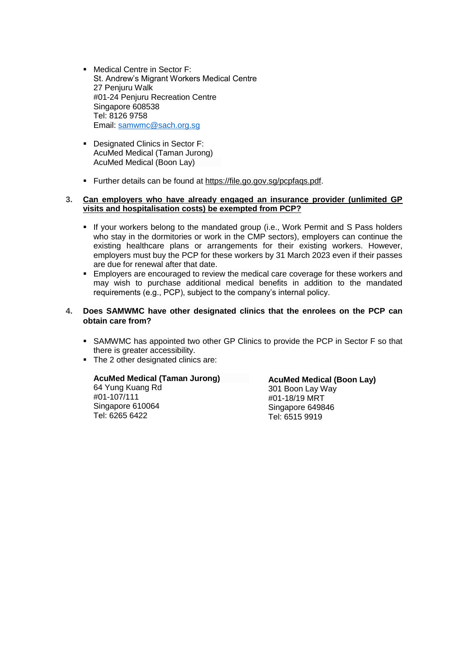- Medical Centre in Sector F: St. Andrew's Migrant Workers Medical Centre 27 Penjuru Walk #01-24 Penjuru Recreation Centre Singapore 608538 Tel: 8126 9758 Email: [samwmc@sach.org.sg](mailto:samwmc@sach.org.sg)
- Designated Clinics in Sector F: AcuMed Medical (Taman Jurong) AcuMed Medical (Boon Lay)
- Further details can be found at [https://file.go.gov.sg/pcpfaqs.pdf.](https://file.go.gov.sg/pcpfaqs.pdf)

# **3. Can employers who have already engaged an insurance provider (unlimited GP visits and hospitalisation costs) be exempted from PCP?**

- **If your workers belong to the mandated group (i.e., Work Permit and S Pass holders** who stay in the dormitories or work in the CMP sectors), employers can continue the existing healthcare plans or arrangements for their existing workers. However, employers must buy the PCP for these workers by 31 March 2023 even if their passes are due for renewal after that date.
- **Employers are encouraged to review the medical care coverage for these workers and** may wish to purchase additional medical benefits in addition to the mandated requirements (e.g., PCP), subject to the company's internal policy.

# **4. Does SAMWMC have other designated clinics that the enrolees on the PCP can obtain care from?**

- SAMWMC has appointed two other GP Clinics to provide the PCP in Sector F so that there is greater accessibility.
- The 2 other designated clinics are:

## **AcuMed Medical (Taman Jurong)**

64 Yung Kuang Rd #01-107/111 Singapore 610064 Tel: 6265 6422

**AcuMed Medical (Boon Lay)** 301 Boon Lay Way #01-18/19 MRT Singapore 649846 Tel: 6515 9919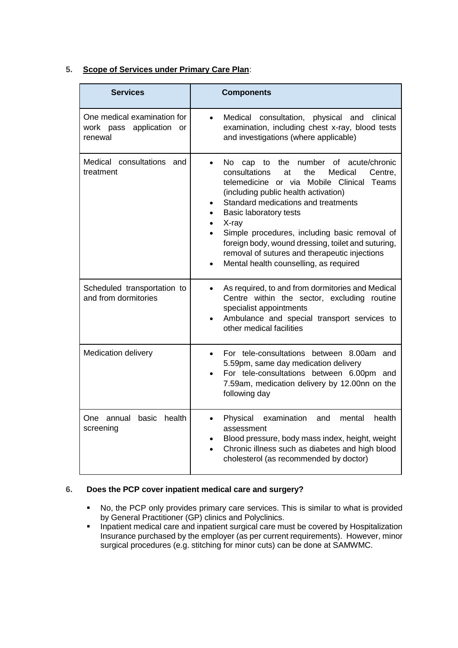| 5. |  |  |  |  |  | <b>Scope of Services under Primary Care Plan:</b> |  |
|----|--|--|--|--|--|---------------------------------------------------|--|
|----|--|--|--|--|--|---------------------------------------------------|--|

| <b>Services</b>                                                    | <b>Components</b>                                                                                                                                                                                                                                                                                                                                                                                                                                                                  |  |  |  |
|--------------------------------------------------------------------|------------------------------------------------------------------------------------------------------------------------------------------------------------------------------------------------------------------------------------------------------------------------------------------------------------------------------------------------------------------------------------------------------------------------------------------------------------------------------------|--|--|--|
| One medical examination for<br>work pass application or<br>renewal | Medical consultation, physical and clinical<br>examination, including chest x-ray, blood tests<br>and investigations (where applicable)                                                                                                                                                                                                                                                                                                                                            |  |  |  |
| Medical consultations and<br>treatment                             | of acute/chronic<br>No l<br>the<br>number<br>cap to<br>Medical<br>consultations<br>the<br>Centre,<br>at<br>telemedicine or via Mobile Clinical<br>Teams<br>(including public health activation)<br>Standard medications and treatments<br><b>Basic laboratory tests</b><br>X-ray<br>Simple procedures, including basic removal of<br>foreign body, wound dressing, toilet and suturing,<br>removal of sutures and therapeutic injections<br>Mental health counselling, as required |  |  |  |
| Scheduled transportation to<br>and from dormitories                | As required, to and from dormitories and Medical<br>Centre within the sector, excluding routine<br>specialist appointments<br>Ambulance and special transport services to<br>other medical facilities                                                                                                                                                                                                                                                                              |  |  |  |
| <b>Medication delivery</b>                                         | For tele-consultations between 8.00am<br>and<br>$\bullet$<br>5.59pm, same day medication delivery<br>For tele-consultations between 6.00pm and<br>7.59am, medication delivery by 12.00nn on the<br>following day                                                                                                                                                                                                                                                                   |  |  |  |
| basic<br>health<br>One annual<br>screening                         | examination<br>health<br>Physical<br>and<br>mental<br>assessment<br>Blood pressure, body mass index, height, weight<br>Chronic illness such as diabetes and high blood<br>$\bullet$<br>cholesterol (as recommended by doctor)                                                                                                                                                                                                                                                      |  |  |  |

# **6. Does the PCP cover inpatient medical care and surgery?**

- No, the PCP only provides primary care services. This is similar to what is provided by General Practitioner (GP) clinics and Polyclinics.
- **Inpatient medical care and inpatient surgical care must be covered by Hospitalization** Insurance purchased by the employer (as per current requirements). However, minor surgical procedures (e.g. stitching for minor cuts) can be done at SAMWMC.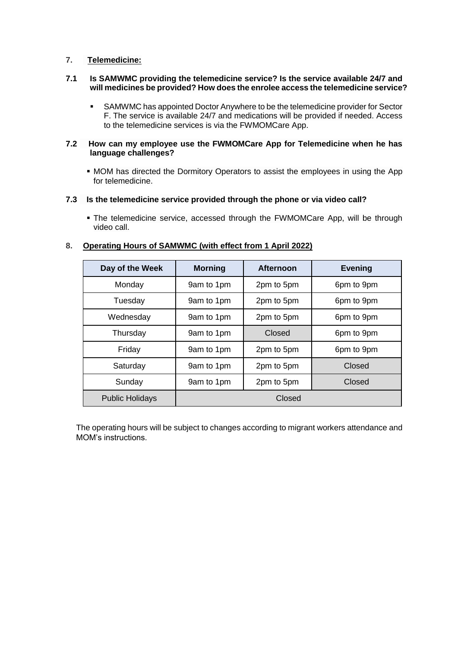# **7. Telemedicine:**

#### **7.1 Is SAMWMC providing the telemedicine service? Is the service available 24/7 and will medicines be provided? How does the enrolee access the telemedicine service?**

 SAMWMC has appointed Doctor Anywhere to be the telemedicine provider for Sector F. The service is available 24/7 and medications will be provided if needed. Access to the telemedicine services is via the FWMOMCare App.

## **7.2 How can my employee use the FWMOMCare App for Telemedicine when he has language challenges?**

 MOM has directed the Dormitory Operators to assist the employees in using the App for telemedicine.

## **7.3 Is the telemedicine service provided through the phone or via video call?**

 The telemedicine service, accessed through the FWMOMCare App, will be through video call.

# **Day of the Week | Morning | Afternoon | Evening** Monday 1 9am to 1pm 1 2pm to 5pm 6pm to 9pm Tuesday 1 9am to 1pm 2pm to 5pm 6pm to 9pm Wednesday | 9am to 1pm | 2pm to 5pm | 6pm to 9pm Thursday 1 9am to 1pm 1 Closed 1 6pm to 9pm Friday 1 9am to 1pm 2pm to 5pm 6pm to 9pm Saturday | 9am to 1pm | 2pm to 5pm | Closed Sunday | 9am to 1pm | 2pm to 5pm | Closed

Public Holidays **Closed** 

## **8. Operating Hours of SAMWMC (with effect from 1 April 2022)**

The operating hours will be subject to changes according to migrant workers attendance and MOM's instructions.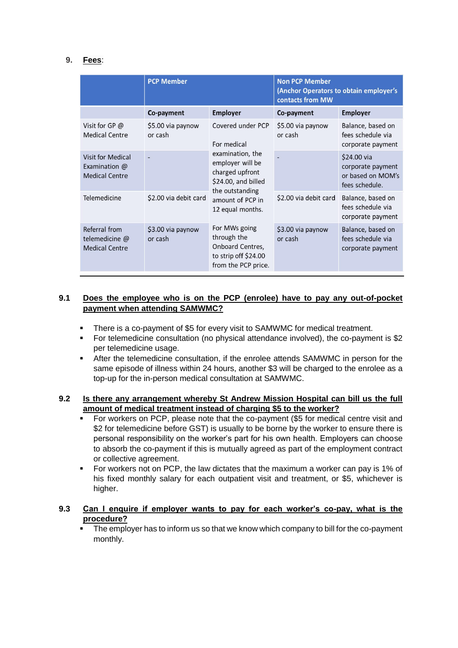# **9. Fees**:

|                                                                           | <b>PCP Member</b>            |                                                                                                        | <b>Non PCP Member</b><br>(Anchor Operators to obtain employer's<br>contacts from MW |                                                                         |  |
|---------------------------------------------------------------------------|------------------------------|--------------------------------------------------------------------------------------------------------|-------------------------------------------------------------------------------------|-------------------------------------------------------------------------|--|
|                                                                           | Co-payment                   | <b>Employer</b>                                                                                        | Co-payment                                                                          | <b>Employer</b>                                                         |  |
| Visit for GP @<br><b>Medical Centre</b>                                   | \$5.00 via paynow<br>or cash | Covered under PCP<br>For medical                                                                       | \$5.00 via paynow<br>or cash                                                        | Balance, based on<br>fees schedule via<br>corporate payment             |  |
| <b>Visit for Medical</b><br>Examination $\omega$<br><b>Medical Centre</b> |                              | examination, the<br>employer will be<br>charged upfront<br>\$24.00, and billed                         |                                                                                     | \$24.00 via<br>corporate payment<br>or based on MOM's<br>fees schedule. |  |
| Telemedicine                                                              | \$2.00 via debit card        | the outstanding<br>amount of PCP in<br>12 equal months.                                                | \$2.00 via debit card                                                               | Balance, based on<br>fees schedule via<br>corporate payment             |  |
| Referral from<br>telemedicine @<br><b>Medical Centre</b>                  | \$3.00 via paynow<br>or cash | For MWs going<br>through the<br><b>Onboard Centres,</b><br>to strip off \$24.00<br>from the PCP price. | \$3.00 via paynow<br>or cash                                                        | Balance, based on<br>fees schedule via<br>corporate payment             |  |

# **9.1 Does the employee who is on the PCP (enrolee) have to pay any out-of-pocket payment when attending SAMWMC?**

- There is a co-payment of \$5 for every visit to SAMWMC for medical treatment.
- For telemedicine consultation (no physical attendance involved), the co-payment is \$2 per telemedicine usage.
- After the telemedicine consultation, if the enrolee attends SAMWMC in person for the same episode of illness within 24 hours, another \$3 will be charged to the enrolee as a top-up for the in-person medical consultation at SAMWMC.

# **9.2 Is there any arrangement whereby St Andrew Mission Hospital can bill us the full amount of medical treatment instead of charging \$5 to the worker?**

- For workers on PCP, please note that the co-payment (\$5 for medical centre visit and \$2 for telemedicine before GST) is usually to be borne by the worker to ensure there is personal responsibility on the worker's part for his own health. Employers can choose to absorb the co-payment if this is mutually agreed as part of the employment contract or collective agreement.
- For workers not on PCP, the law dictates that the maximum a worker can pay is 1% of his fixed monthly salary for each outpatient visit and treatment, or \$5, whichever is higher.

# **9.3 Can I enquire if employer wants to pay for each worker's co-pay, what is the procedure?**

 The employer has to inform us so that we know which company to bill for the co-payment monthly.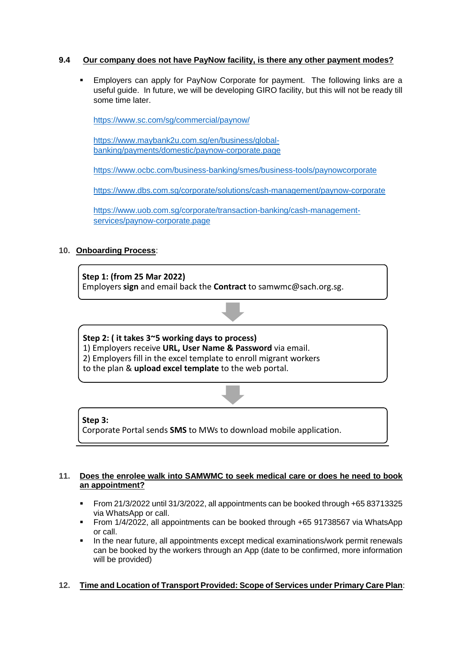# **9.4 Our company does not have PayNow facility, is there any other payment modes?**

 Employers can apply for PayNow Corporate for payment. The following links are a useful guide. In future, we will be developing GIRO facility, but this will not be ready till some time later.

<https://www.sc.com/sg/commercial/paynow/>

[https://www.maybank2u.com.sg/en/business/global](https://www.maybank2u.com.sg/en/business/global-banking/payments/domestic/paynow-corporate.page)[banking/payments/domestic/paynow-corporate.page](https://www.maybank2u.com.sg/en/business/global-banking/payments/domestic/paynow-corporate.page)

<https://www.ocbc.com/business-banking/smes/business-tools/paynowcorporate>

<https://www.dbs.com.sg/corporate/solutions/cash-management/paynow-corporate>

[https://www.uob.com.sg/corporate/transaction-banking/cash-management](https://www.uob.com.sg/corporate/transaction-banking/cash-management-services/paynow-corporate.page)[services/paynow-corporate.page](https://www.uob.com.sg/corporate/transaction-banking/cash-management-services/paynow-corporate.page)

# **10. Onboarding Process**:

**Step 1: (from 25 Mar 2022)** Employers **sign** and email back the **Contract** to samwmc@sach.org.sg.

**Step 2: ( it takes 3~5 working days to process)** 1) Employers receive **URL, User Name & Password** via email. 2) Employers fill in the excel template to enroll migrant workers to the plan & **upload excel template** to the web portal.

## **Step 3:**

Corporate Portal sends **SMS** to MWs to download mobile application.

## **11. Does the enrolee walk into SAMWMC to seek medical care or does he need to book an appointment?**

- From 21/3/2022 until 31/3/2022, all appointments can be booked through +65 83713325 via WhatsApp or call.
- From 1/4/2022, all appointments can be booked through +65 91738567 via WhatsApp or call.
- In the near future, all appointments except medical examinations/work permit renewals can be booked by the workers through an App (date to be confirmed, more information will be provided)

# **12. Time and Location of Transport Provided: Scope of Services under Primary Care Plan**: